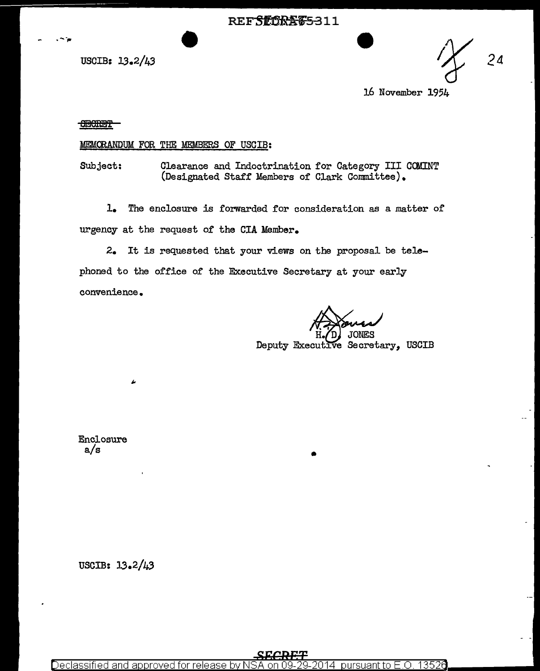REFSIDKA 65-311<br>USCIB: 13.2/43<br>24

16 November 1954

## SEeRB'l'

.--~

## MEMCRANDUM FOR THE MEMBERS OF USCIB:

Subject: Clearance and Indoctrination for Category III COMINT (Designated Staff Members of Clark Committee).

1. The enclosure is forwarded for consideration as a matter of urgency at the request of the CIA Member.

2. It is requested that your views on the proposal be telephoned to the office of the Executive Secretary at your early convenience.

Deputy Executive Secretary, USCIB

•

Enclosure a/s

USCIB: 13.2/43